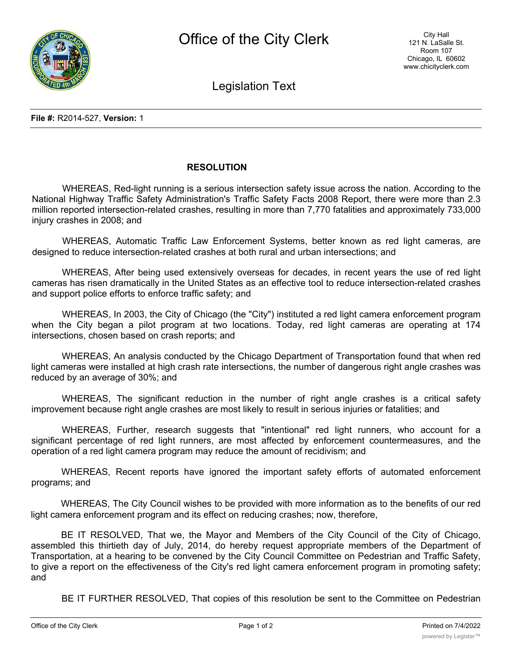

Legislation Text

## **RESOLUTION**

WHEREAS, Red-light running is a serious intersection safety issue across the nation. According to the National Highway Traffic Safety Administration's Traffic Safety Facts 2008 Report, there were more than 2.3 million reported intersection-related crashes, resulting in more than 7,770 fatalities and approximately 733,000 injury crashes in 2008; and

WHEREAS, Automatic Traffic Law Enforcement Systems, better known as red light cameras, are designed to reduce intersection-related crashes at both rural and urban intersections; and

WHEREAS, After being used extensively overseas for decades, in recent years the use of red light cameras has risen dramatically in the United States as an effective tool to reduce intersection-related crashes and support police efforts to enforce traffic safety; and

WHEREAS, In 2003, the City of Chicago (the "City") instituted a red light camera enforcement program when the City began a pilot program at two locations. Today, red light cameras are operating at 174 intersections, chosen based on crash reports; and

WHEREAS, An analysis conducted by the Chicago Department of Transportation found that when red light cameras were installed at high crash rate intersections, the number of dangerous right angle crashes was reduced by an average of 30%; and

WHEREAS, The significant reduction in the number of right angle crashes is a critical safety improvement because right angle crashes are most likely to result in serious injuries or fatalities; and

WHEREAS, Further, research suggests that "intentional" red light runners, who account for a significant percentage of red light runners, are most affected by enforcement countermeasures, and the operation of a red light camera program may reduce the amount of recidivism; and

WHEREAS, Recent reports have ignored the important safety efforts of automated enforcement programs; and

WHEREAS, The City Council wishes to be provided with more information as to the benefits of our red light camera enforcement program and its effect on reducing crashes; now, therefore,

BE IT RESOLVED, That we, the Mayor and Members of the City Council of the City of Chicago, assembled this thirtieth day of July, 2014, do hereby request appropriate members of the Department of Transportation, at a hearing to be convened by the City Council Committee on Pedestrian and Traffic Safety, to give a report on the effectiveness of the City's red light camera enforcement program in promoting safety; and

BE IT FURTHER RESOLVED, That copies of this resolution be sent to the Committee on Pedestrian